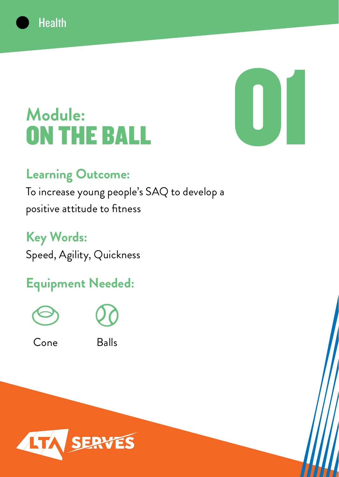

# **Module:** ON THE BALL

#### **Learning Outcome:**

**Health** 

To increase young people's SAQ to develop a positive attitude to fitness

**Key Words:** Speed, Agility, Quickness

## **Equipment Needed:**





Cone Balls

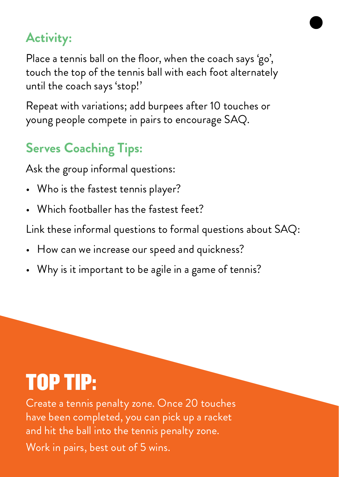Place a tennis ball on the floor, when the coach says 'go', touch the top of the tennis ball with each foot alternately until the coach says 'stop!'

Repeat with variations; add burpees after 10 touches or young people compete in pairs to encourage SAQ.

## **Serves Coaching Tips:**

Ask the group informal questions:

- Who is the fastest tennis player?
- Which footballer has the fastest feet?

Link these informal questions to formal questions about SAQ:

- How can we increase our speed and quickness?
- Why is it important to be agile in a game of tennis?

# TOP TIP:

Create a tennis penalty zone. Once 20 touches have been completed, you can pick up a racket and hit the ball into the tennis penalty zone. Work in pairs, best out of 5 wins.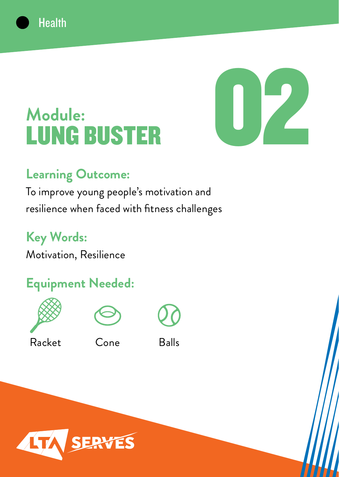

# **Module:** LUNG BUSTER

#### **Learning Outcome:**

To improve young people's motivation and resilience when faced with fitness challenges

**Key Words:**

**Health** 

Motivation, Resilience

### **Equipment Needed:**





Racket Cone Balls

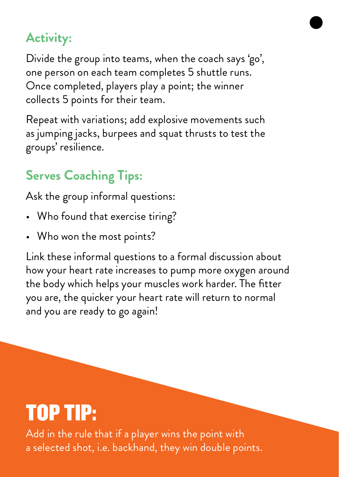Divide the group into teams, when the coach says 'go', one person on each team completes 5 shuttle runs. Once completed, players play a point; the winner collects 5 points for their team.

Repeat with variations; add explosive movements such as jumping jacks, burpees and squat thrusts to test the groups' resilience.

# **Serves Coaching Tips:**

Ask the group informal questions:

- Who found that exercise tiring?
- Who won the most points?

Link these informal questions to a formal discussion about how your heart rate increases to pump more oxygen around the body which helps your muscles work harder. The fitter you are, the quicker your heart rate will return to normal and you are ready to go again!

# TOP TIP:

Add in the rule that if a player wins the point with a selected shot, i.e. backhand, they win double points.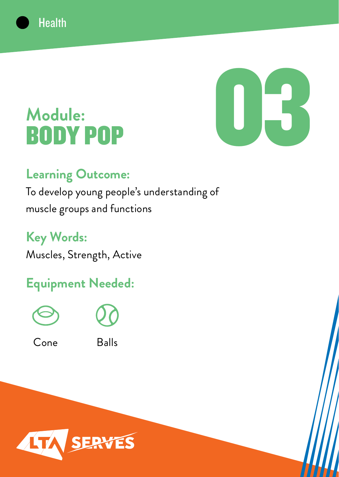

# **Module:** BODY POP

**Health** 

#### **Learning Outcome:**

To develop young people's understanding of muscle groups and functions

**Key Words:** Muscles, Strength, Active

## **Equipment Needed:**





Cone Balls

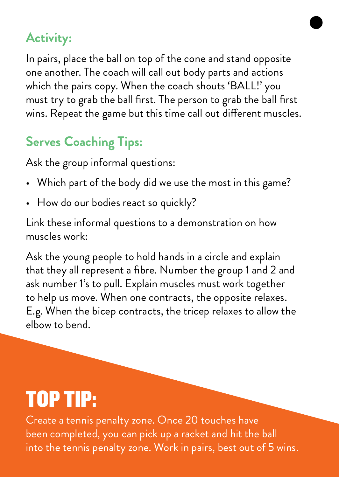In pairs, place the ball on top of the cone and stand opposite one another. The coach will call out body parts and actions which the pairs copy. When the coach shouts 'BALL!' you must try to grab the ball first. The person to grab the ball first wins. Repeat the game but this time call out different muscles.

# **Serves Coaching Tips:**

Ask the group informal questions:

- Which part of the body did we use the most in this game?
- How do our bodies react so quickly?

Link these informal questions to a demonstration on how muscles work:

Ask the young people to hold hands in a circle and explain that they all represent a fibre. Number the group 1 and 2 and ask number 1's to pull. Explain muscles must work together to help us move. When one contracts, the opposite relaxes. E.g. When the bicep contracts, the tricep relaxes to allow the elbow to bend.

# TOP TIP:

Create a tennis penalty zone. Once 20 touches have been completed, you can pick up a racket and hit the ball into the tennis penalty zone. Work in pairs, best out of 5 wins.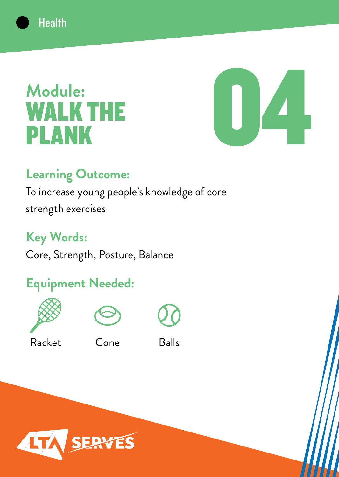

# **Module:** WALK THE PLANK



#### **Learning Outcome:**

To increase young people's knowledge of core strength exercises

#### **Key Words:**

Core, Strength, Posture, Balance

## **Equipment Needed:**





Racket Cone Balls



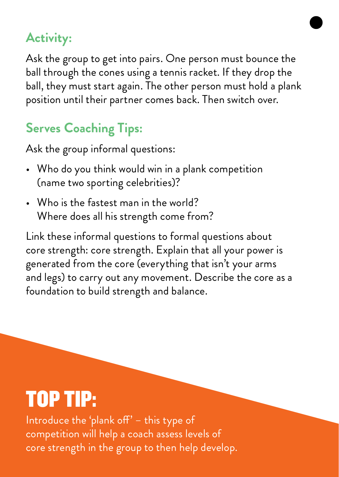Ask the group to get into pairs. One person must bounce the ball through the cones using a tennis racket. If they drop the ball, they must start again. The other person must hold a plank position until their partner comes back. Then switch over.

## **Serves Coaching Tips:**

Ask the group informal questions:

- Who do you think would win in a plank competition (name two sporting celebrities)?
- Who is the fastest man in the world? Where does all his strength come from?

Link these informal questions to formal questions about core strength: core strength. Explain that all your power is generated from the core (everything that isn't your arms and legs) to carry out any movement. Describe the core as a foundation to build strength and balance.

# TOP TIP:

Introduce the 'plank off' – this type of competition will help a coach assess levels of core strength in the group to then help develop.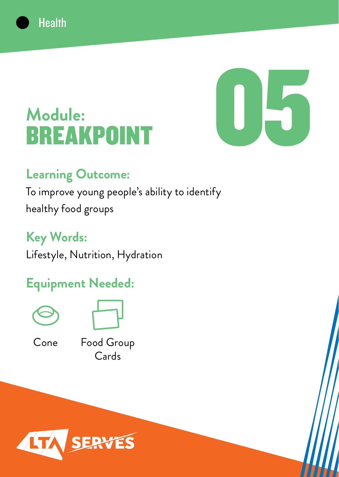

# **Module: BREAKPO**

#### **Learning Outcome:**

To improve young people's ability to identify healthy food groups

**Key Words:**

**Health** 

Lifestyle, Nutrition, Hydration

#### **Equipment Needed:**





Cone

Food Group Cards

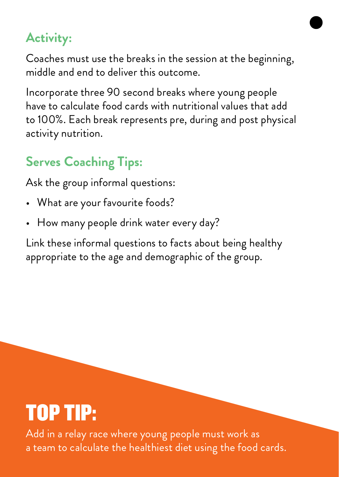Coaches must use the breaks in the session at the beginning, middle and end to deliver this outcome.

Incorporate three 90 second breaks where young people have to calculate food cards with nutritional values that add to 100%. Each break represents pre, during and post physical activity nutrition.

### **Serves Coaching Tips:**

Ask the group informal questions:

- What are your favourite foods?
- How many people drink water every day?

Link these informal questions to facts about being healthy appropriate to the age and demographic of the group.

# TOP TIP:

Add in a relay race where young people must work as a team to calculate the healthiest diet using the food cards.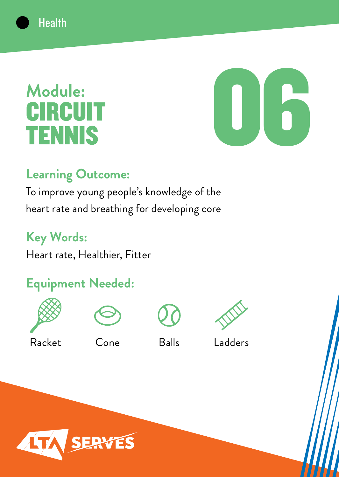

# **Module: CIRCUIT** TENNIS



#### **Learning Outcome:**

To improve young people's knowledge of the heart rate and breathing for developing core

### **Key Words:**

Heart rate, Healthier, Fitter

# **Equipment Needed:**









Racket Cone Balls Ladders

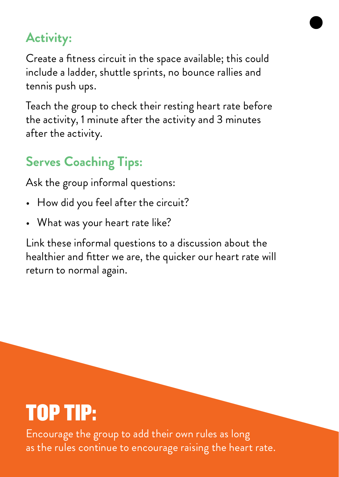Create a fitness circuit in the space available; this could include a ladder, shuttle sprints, no bounce rallies and tennis push ups.

Teach the group to check their resting heart rate before the activity, 1 minute after the activity and 3 minutes after the activity.

### **Serves Coaching Tips:**

Ask the group informal questions:

- How did you feel after the circuit?
- What was your heart rate like?

Link these informal questions to a discussion about the healthier and fitter we are, the quicker our heart rate will return to normal again.

# TOP TIP:

Encourage the group to add their own rules as long as the rules continue to encourage raising the heart rate.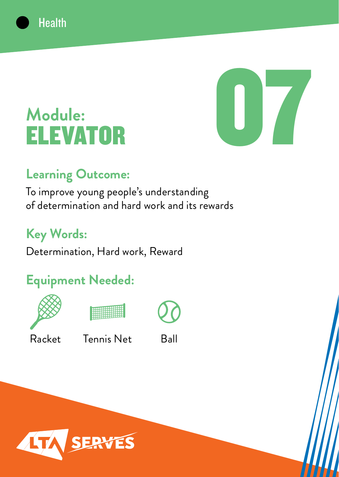

# **Module:** ELEVATOR

**Health** 

#### **Learning Outcome:**

To improve young people's understanding of determination and hard work and its rewards

## **Key Words:**

Determination, Hard work, Reward

## **Equipment Needed:**







Racket Tennis Net Ball

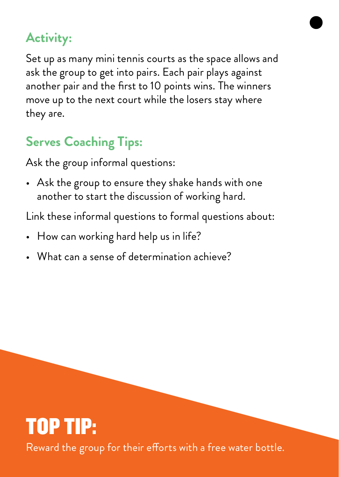Set up as many mini tennis courts as the space allows and ask the group to get into pairs. Each pair plays against another pair and the first to 10 points wins. The winners move up to the next court while the losers stay where they are.

## **Serves Coaching Tips:**

Ask the group informal questions:

• Ask the group to ensure they shake hands with one another to start the discussion of working hard.

Link these informal questions to formal questions about:

- How can working hard help us in life?
- What can a sense of determination achieve?

# TOP TIP: Reward the group for their efforts with a free water bottle.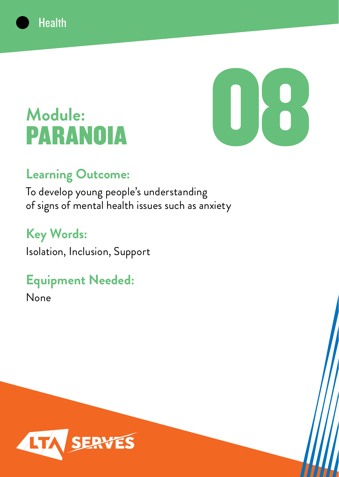

# **Module:** PARANOIA

**Health** 

#### **Learning Outcome:**

To develop young people's understanding of signs of mental health issues such as anxiety

### **Key Words:**

Isolation, Inclusion, Support

### **Equipment Needed:**

None

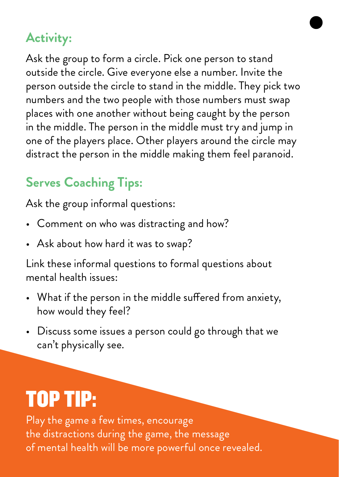Ask the group to form a circle. Pick one person to stand outside the circle. Give everyone else a number. Invite the person outside the circle to stand in the middle. They pick two numbers and the two people with those numbers must swap places with one another without being caught by the person in the middle. The person in the middle must try and jump in one of the players place. Other players around the circle may distract the person in the middle making them feel paranoid.

#### **Serves Coaching Tips:**

Ask the group informal questions:

- Comment on who was distracting and how?
- Ask about how hard it was to swap?

Link these informal questions to formal questions about mental health issues:

- What if the person in the middle suffered from anxiety, how would they feel?
- Discuss some issues a person could go through that we can't physically see.

# TOP TIP:

Play the game a few times, encourage the distractions during the game, the message of mental health will be more powerful once revealed.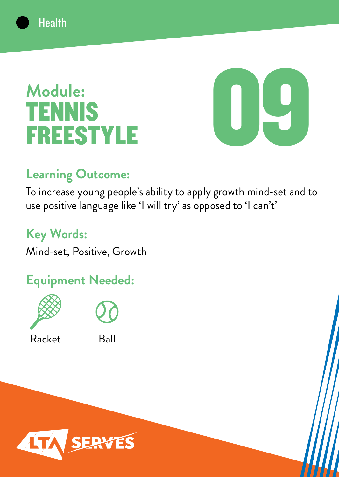

# **Module:** TENNIS FREESTYLE



#### **Learning Outcome:**

To increase young people's ability to apply growth mind-set and to use positive language like 'I will try' as opposed to 'I can't'

#### **Key Words:**

Mind-set, Positive, Growth

### **Equipment Needed:**





Racket Ball